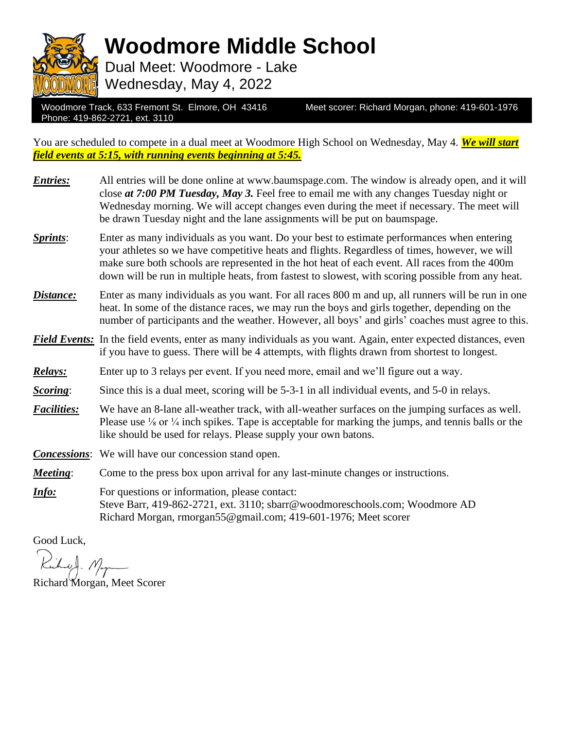

**Woodmore Middle School**

Dual Meet: Woodmore - Lake Wednesday, May 4, 2022

Woodmore Track, 633 Fremont St. Elmore, OH 43416 Meet scorer: Richard Morgan, phone: 419-601-1976 Phone: 419-862-2721, ext. 3110

You are scheduled to compete in a dual meet at Woodmore High School on Wednesday, May 4. *We will start field events at 5:15, with running events beginning at 5:45.*

| <b>Entries:</b>    | All entries will be done online at www.baumspage.com. The window is already open, and it will<br>close at 7:00 PM Tuesday, May 3. Feel free to email me with any changes Tuesday night or<br>Wednesday morning. We will accept changes even during the meet if necessary. The meet will<br>be drawn Tuesday night and the lane assignments will be put on baumspage.                              |
|--------------------|---------------------------------------------------------------------------------------------------------------------------------------------------------------------------------------------------------------------------------------------------------------------------------------------------------------------------------------------------------------------------------------------------|
| Sprints:           | Enter as many individuals as you want. Do your best to estimate performances when entering<br>your athletes so we have competitive heats and flights. Regardless of times, however, we will<br>make sure both schools are represented in the hot heat of each event. All races from the 400m<br>down will be run in multiple heats, from fastest to slowest, with scoring possible from any heat. |
| Distance:          | Enter as many individuals as you want. For all races 800 m and up, all runners will be run in one<br>heat. In some of the distance races, we may run the boys and girls together, depending on the<br>number of participants and the weather. However, all boys' and girls' coaches must agree to this.                                                                                           |
|                    | <b>Field Events:</b> In the field events, enter as many individuals as you want. Again, enter expected distances, even<br>if you have to guess. There will be 4 attempts, with flights drawn from shortest to longest.                                                                                                                                                                            |
| Relays:            | Enter up to 3 relays per event. If you need more, email and we'll figure out a way.                                                                                                                                                                                                                                                                                                               |
| Scoring:           | Since this is a dual meet, scoring will be 5-3-1 in all individual events, and 5-0 in relays.                                                                                                                                                                                                                                                                                                     |
| <b>Facilities:</b> | We have an 8-lane all-weather track, with all-weather surfaces on the jumping surfaces as well.<br>Please use $\frac{1}{8}$ or $\frac{1}{4}$ inch spikes. Tape is acceptable for marking the jumps, and tennis balls or the<br>like should be used for relays. Please supply your own batons.                                                                                                     |
|                    | <b>Concessions:</b> We will have our concession stand open.                                                                                                                                                                                                                                                                                                                                       |
| Meeting:           | Come to the press box upon arrival for any last-minute changes or instructions.                                                                                                                                                                                                                                                                                                                   |
| Info:              | For questions or information, please contact:<br>Steve Barr, 419-862-2721, ext. 3110; sbarr@woodmoreschools.com; Woodmore AD<br>Richard Morgan, rmorgan55@gmail.com; 419-601-1976; Meet scorer                                                                                                                                                                                                    |

Good Luck,

Richard Morgan, Meet Scorer